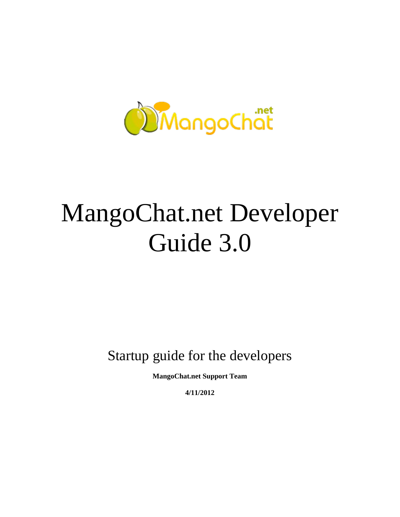

# MangoChat.net Developer Guide 3.0

Startup guide for the developers

**MangoChat.net Support Team**

**4/11/2012**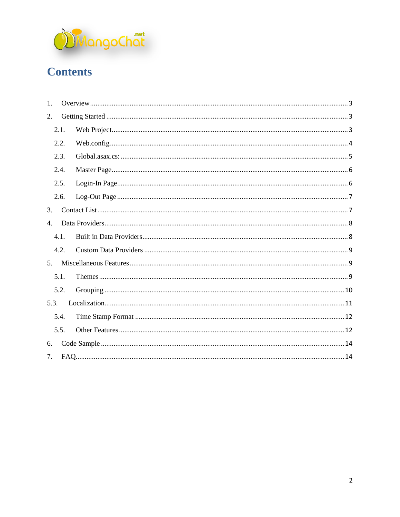

# **Contents**

| $\mathbf{1}$ .   |  |  |  |
|------------------|--|--|--|
| 2.               |  |  |  |
| 2.1.             |  |  |  |
| 2.2.             |  |  |  |
| 2.3.             |  |  |  |
| 2.4.             |  |  |  |
| 2.5.             |  |  |  |
| 2.6.             |  |  |  |
| 3.               |  |  |  |
| $\overline{4}$ . |  |  |  |
| 4.1.             |  |  |  |
| 4.2.             |  |  |  |
| 5.               |  |  |  |
| 5.1.             |  |  |  |
| 5.2.             |  |  |  |
| 5.3.             |  |  |  |
| 5.4.             |  |  |  |
| 5.5.             |  |  |  |
| 6.               |  |  |  |
| 7.               |  |  |  |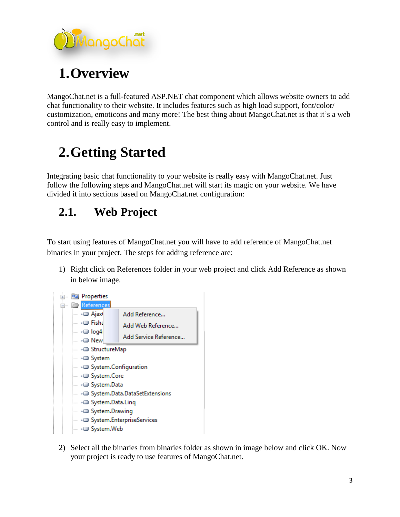

<span id="page-2-0"></span>MangoChat.net is a full-featured ASP.NET chat component which allows website owners to add chat functionality to their website. It includes features such as high load support, font/color/ customization, emoticons and many more! The best thing about MangoChat.net is that it's a web control and is really easy to implement.

# <span id="page-2-1"></span>**2.Getting Started**

Integrating basic chat functionality to your website is really easy with MangoChat.net. Just follow the following steps and MangoChat.net will start its magic on your website. We have divided it into sections based on MangoChat.net configuration:

# <span id="page-2-2"></span>**2.1. Web Project**

To start using features of MangoChat.net you will have to add reference of MangoChat.net binaries in your project. The steps for adding reference are:

1) Right click on References folder in your web project and click Add Reference as shown in below image.



2) Select all the binaries from binaries folder as shown in image below and click OK. Now your project is ready to use features of MangoChat.net.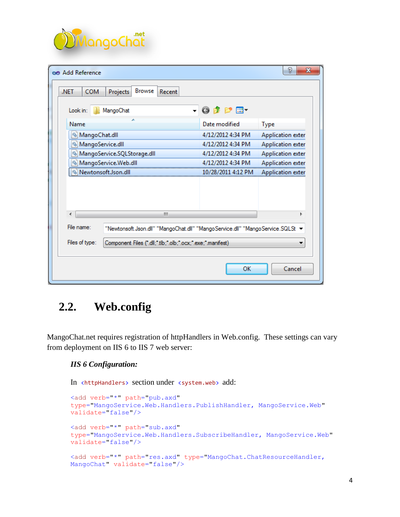

| P<br>х<br>oo Add Reference                                                                                       |                          |                          |  |  |  |
|------------------------------------------------------------------------------------------------------------------|--------------------------|--------------------------|--|--|--|
| <b>Browse</b><br><b>COM</b><br>.NET<br>Projects<br>Recent                                                        |                          |                          |  |  |  |
| Look in:<br>MangoChat                                                                                            | $ 0$ $0$ $0$ $0$ $0$ $1$ |                          |  |  |  |
| Name                                                                                                             | Date modified            | <b>Type</b>              |  |  |  |
| S MangoChat.dll                                                                                                  | 4/12/2012 4:34 PM        | Application exter        |  |  |  |
| S MangoService.dll                                                                                               | 4/12/2012 4:34 PM        | Application exter        |  |  |  |
| MangoService.SQLStorage.dll                                                                                      | 4/12/2012 4:34 PM        | Application exter        |  |  |  |
| <u>ි</u> ) MangoService.Web.dll                                                                                  | 4/12/2012 4:34 PM        | Application exter        |  |  |  |
| Newtonsoft.Json.dll                                                                                              | 10/28/2011 4:12 PM       | <b>Application exter</b> |  |  |  |
| ш                                                                                                                |                          |                          |  |  |  |
|                                                                                                                  |                          |                          |  |  |  |
| File name:<br>"Newtonsoft.Json.dll" "MangoChat.dll" "MangoService.dll" "MangoService.SQLSt $\blacktriangleright$ |                          |                          |  |  |  |
| Files of type:<br>Component Files (".dll;".tlb;".olb;".ocx;".exe;".manifest)                                     |                          |                          |  |  |  |
|                                                                                                                  | OK                       | Cancel                   |  |  |  |

#### <span id="page-3-0"></span>**2.2. Web.config**

MangoChat.net requires registration of httpHandlers in Web.config. These settings can vary from deployment on IIS 6 to IIS 7 web server:

#### *IIS 6 Configuration:*

In <httpHandlers> section under <system.web> add:

```
<add verb="*" path="pub.axd" 
type="MangoService.Web.Handlers.PublishHandler, MangoService.Web"
validate="false"/>
<add verb="*" path="sub.axd"
type="MangoService.Web.Handlers.SubscribeHandler, MangoService.Web"
validate="false"/>
<add verb="*" path="res.axd" type="MangoChat.ChatResourceHandler, 
MangoChat" validate="false"/>
```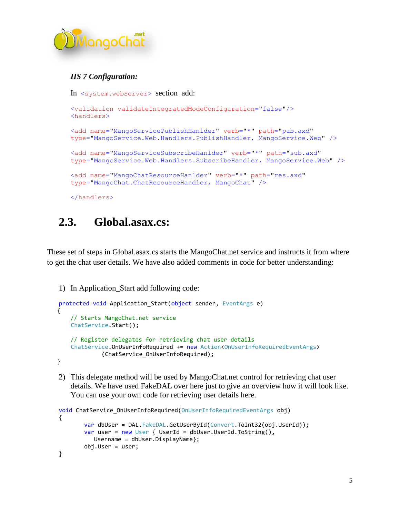

#### *IIS 7 Configuration:*

In <system.webServer> section add:

```
<validation validateIntegratedModeConfiguration="false"/>
 <handlers>
<add name="MangoServicePublishHanlder" verb="*" path="pub.axd" 
type="MangoService.Web.Handlers.PublishHandler, MangoService.Web" />
<add name="MangoServiceSubscribeHanlder" verb="*" path="sub.axd"
type="MangoService.Web.Handlers.SubscribeHandler, MangoService.Web" />
<add name="MangoChatResourceHanlder" verb="*" path="res.axd"
type="MangoChat.ChatResourceHandler, MangoChat" />
```
</handlers>

#### <span id="page-4-0"></span>**2.3. Global.asax.cs:**

These set of steps in Global.asax.cs starts the MangoChat.net service and instructs it from where to get the chat user details. We have also added comments in code for better understanding:

1) In Application\_Start add following code:

```
protected void Application_Start(object sender, EventArgs e)
 {
    // Starts MangoChat.net service
     ChatService.Start();
    // Register delegates for retrieving chat user details
     ChatService.OnUserInfoRequired += new Action<OnUserInfoRequiredEventArgs>
              (ChatService_OnUserInfoRequired);
 }
```
2) This delegate method will be used by MangoChat.net control for retrieving chat user details. We have used FakeDAL over here just to give an overview how it will look like. You can use your own code for retrieving user details here.

```
void ChatService_OnUserInfoRequired(OnUserInfoRequiredEventArgs obj)
{
        var dbUser = DAL.FakeDAL.GetUserById(Convert.ToInt32(obj.UserId));
       var user = new User { UserId = dbUser.UserId.ToString(),
          Username = dbUser.DisplayName};
        obj.User = user;
}
```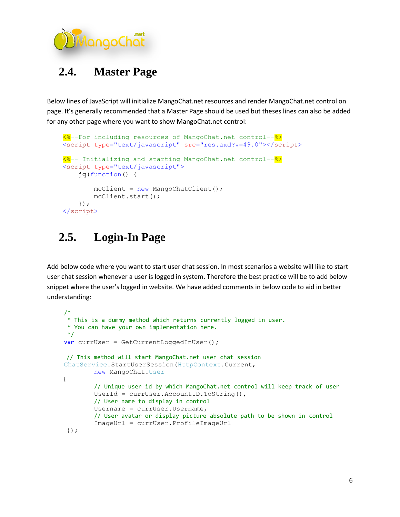

# <span id="page-5-0"></span>**2.4. Master Page**

Below lines of JavaScript will initialize MangoChat.net resources and render MangoChat.net control on page. It's generally recommended that a Master Page should be used but theses lines can also be added for any other page where you want to show MangoChat.net control:

```
 <%--For including resources of MangoChat.net control--%>
 <script type="text/javascript" src="res.axd?v=49.0"></script>
 <%-- Initializing and starting MangoChat.net control--%>
 <script type="text/javascript">
     jq(function() {
        mcClient = new MangoChatClient();
         mcClient.start();
     });
 </script>
```
# <span id="page-5-1"></span>**2.5. Login-In Page**

Add below code where you want to start user chat session. In most scenarios a website will like to start user chat session whenever a user is logged in system. Therefore the best practice will be to add below snippet where the user's logged in website. We have added comments in below code to aid in better understanding:

```
 /*
 * This is a dummy method which returns currently logged in user.
 * You can have your own implementation here.
 */
var currUser = GetCurrentLoggedInUser();
 // This method will start MangoChat.net user chat session
 ChatService.StartUserSession(HttpContext.Current, 
         new MangoChat.User
 {
         // Unique user id by which MangoChat.net control will keep track of user
        UserId = currUser.AccountID.ToString(),
         // User name to display in control
        Username = currUser.Username,
        // User avatar or display picture absolute path to be shown in control 
        ImageUrl = currUser.ProfileImageUrl
 });
```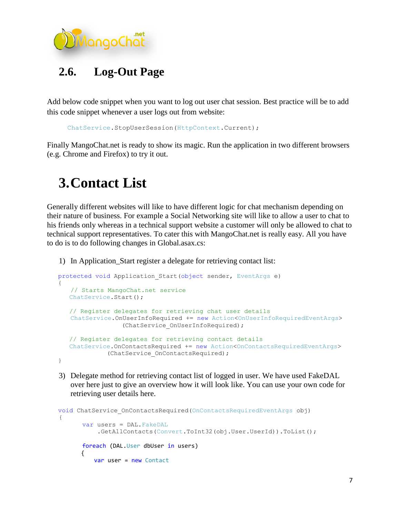

<span id="page-6-0"></span>Add below code snippet when you want to log out user chat session. Best practice will be to add this code snippet whenever a user logs out from website:

ChatService.StopUserSession(HttpContext.Current);

<span id="page-6-1"></span>Finally MangoChat.net is ready to show its magic. Run the application in two different browsers (e.g. Chrome and Firefox) to try it out.

# **3.Contact List**

Generally different websites will like to have different logic for chat mechanism depending on their nature of business. For example a Social Networking site will like to allow a user to chat to his friends only whereas in a technical support website a customer will only be allowed to chat to technical support representatives. To cater this with MangoChat.net is really easy. All you have to do is to do following changes in Global.asax.cs:

1) In Application\_Start register a delegate for retrieving contact list:

```
protected void Application Start(object sender, EventArgs e)
\overline{\phantom{a}} // Starts MangoChat.net service
      ChatService.Start();
       // Register delegates for retrieving chat user details
      ChatService.OnUserInfoRequired += new Action<OnUserInfoRequiredEventArgs>
                      (ChatService_OnUserInfoRequired);
       // Register delegates for retrieving contact details
       ChatService.OnContactsRequired += new Action<OnContactsRequiredEventArgs>
                  (ChatService_OnContactsRequired);
    }
```
3) Delegate method for retrieving contact list of logged in user. We have used FakeDAL over here just to give an overview how it will look like. You can use your own code for retrieving user details here.

```
void ChatService OnContactsRequired(OnContactsRequiredEventArgs obj)
   {
         var users = DAL.FakeDAL
               .GetAllContacts(Convert.ToInt32(obj.User.UserId)).ToList();
         foreach (DAL.User dbUser in users)
\overline{\mathcal{L}} var user = new Contact
```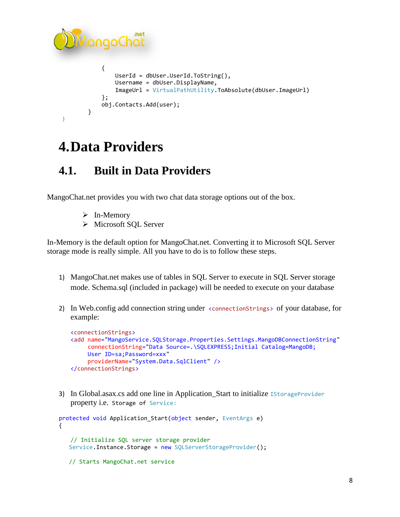```
AangoChat
\{ UserId = dbUser.UserId.ToString(),
                 Username = dbUser.DisplayName,
                 ImageUrl = VirtualPathUtility.ToAbsolute(dbUser.ImageUrl)
              };
              obj.Contacts.Add(user);
 }
    }
```
# <span id="page-7-0"></span>**4.Data Providers**

# <span id="page-7-1"></span>**4.1. Built in Data Providers**

MangoChat.net provides you with two chat data storage options out of the box.

- $\triangleright$  In-Memory
- > Microsoft SOL Server

In-Memory is the default option for MangoChat.net. Converting it to Microsoft SQL Server storage mode is really simple. All you have to do is to follow these steps.

- 1) MangoChat.net makes use of tables in SQL Server to execute in SQL Server storage mode. Schema.sql (included in package) will be needed to execute on your database
- 2) In Web.config add connection string under <connectionStrings> of your database, for example:

```
<connectionStrings>
<add name="MangoService.SQLStorage.Properties.Settings.MangoDBConnectionString"
     connectionString="Data Source=.\SQLEXPRESS;Initial Catalog=MangoDB;
    User ID=sa;Password=xxx"
     providerName="System.Data.SqlClient" />
</connectionStrings>
```
3) In Global.asax.cs add one line in Application\_Start to initialize IStorageProvider property i.e. Storage of Service:

```
protected void Application_Start(object sender, EventArgs e)
{
   // Initialize SQL server storage provider
   Service.Instance.Storage = new SQLServerStorageProvider();
    // Starts MangoChat.net service
```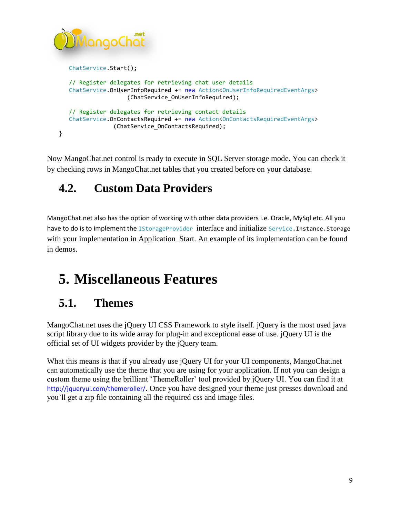```
langoChat
    ChatService.Start();
    // Register delegates for retrieving chat user details
    ChatService.OnUserInfoRequired += new Action<OnUserInfoRequiredEventArgs>
                     (ChatService_OnUserInfoRequired);
    // Register delegates for retrieving contact details
    ChatService.OnContactsRequired += new Action<OnContactsRequiredEventArgs>
                 (ChatService_OnContactsRequired);
}
```
Now MangoChat.net control is ready to execute in SQL Server storage mode. You can check it by checking rows in MangoChat.net tables that you created before on your database.

# <span id="page-8-0"></span>**4.2. Custom Data Providers**

MangoChat.net also has the option of working with other data providers i.e. Oracle, MySql etc. All you have to do is to implement the IStorageProvider interface and initialize Service. Instance. Storage with your implementation in Application\_Start. An example of its implementation can be found in demos.

# <span id="page-8-1"></span>**5. Miscellaneous Features**

# <span id="page-8-2"></span>**5.1. Themes**

MangoChat.net uses the jQuery UI CSS Framework to style itself. jQuery is the most used java script library due to its wide array for plug-in and exceptional ease of use. jQuery UI is the official set of UI widgets provider by the jQuery team.

What this means is that if you already use jQuery UI for your UI components, MangoChat.net can automatically use the theme that you are using for your application. If not you can design a custom theme using the brilliant 'ThemeRoller' tool provided by jQuery UI. You can find it at <http://jqueryui.com/themeroller/>. Once you have designed your theme just presses download and you'll get a zip file containing all the required css and image files.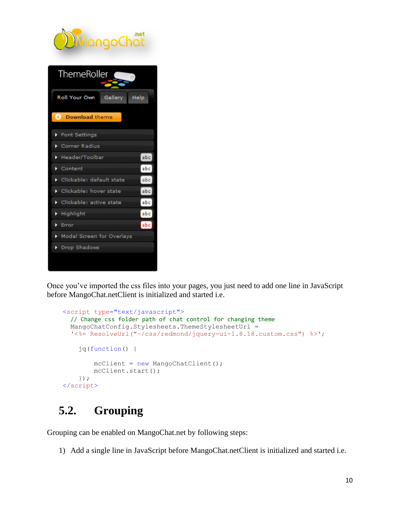

Once you've imported the css files into your pages, you just need to add one line in JavaScript before MangoChat.netClient is initialized and started i.e.

```
 <script type="text/javascript">
  // Change css folder path of chat control for changing theme
  MangoChatConfig.Stylesheets.ThemeStylesheetUrl = 
  '<%= ResolveUrl("~/css/redmond/jquery-ui-1.8.18.custom.css") %>';
     jq(function() {
        mcClient = new MangoChatClient();
         mcClient.start();
     });
 </script>
```
# <span id="page-9-0"></span>**5.2. Grouping**

Grouping can be enabled on MangoChat.net by following steps:

1) Add a single line in JavaScript before MangoChat.netClient is initialized and started i.e.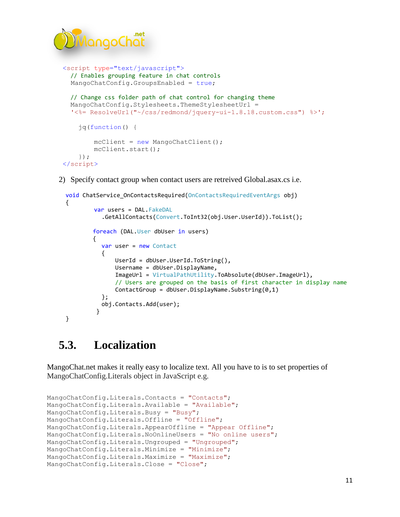

```
 <script type="text/javascript">
  // Enables grouping feature in chat controls
   MangoChatConfig.GroupsEnabled = true;
  // Change css folder path of chat control for changing theme
  MangoChatConfig.Stylesheets.ThemeStylesheetUrl = 
  '<%= ResolveUrl("~/css/redmond/jquery-ui-1.8.18.custom.css") %>';
     jq(function() {
        mcClient = new MangoChatClient();
         mcClient.start();
     });
 </script>
```
2) Specify contact group when contact users are retreived Global.asax.cs i.e.

```
 void ChatService_OnContactsRequired(OnContactsRequiredEventArgs obj)
      {
              var users = DAL.FakeDAL
                .GetAllContacts(Convert.ToInt32(obj.User.UserId)).ToList();
              foreach (DAL.User dbUser in users)
              {
                var user = new Contact
\{ UserId = dbUser.UserId.ToString(),
                   Username = dbUser.DisplayName,
                   ImageUrl = VirtualPathUtility.ToAbsolute(dbUser.ImageUrl),
                    // Users are grouped on the basis of first character in display name
                    ContactGroup = dbUser.DisplayName.Substring(0,1)
                };
                obj.Contacts.Add(user);
    }
      }
```
# <span id="page-10-0"></span>**5.3. Localization**

MangoChat.net makes it really easy to localize text. All you have to is to set properties of MangoChatConfig.Literals object in JavaScript e.g.

```
MangoChatConfig.Literals.Contacts = "Contacts";
MangoChatConfig.Literals.Available = "Available";
MangoChatConfig.Literals.Busy = "Busy";
MangoChatConfig.Literals.Offline = "Offline";
MangoChatConfig.Literals.AppearOffline = "Appear Offline";
MangoChatConfig.Literals.NoOnlineUsers = "No online users";
MangoChatConfig.Literals.Ungrouped = "Ungrouped";
MangoChatConfig.Literals.Minimize = "Minimize";
MangoChatConfig.Literals.Maximize = "Maximize";
MangoChatConfig.Literals.Close = "Close";
```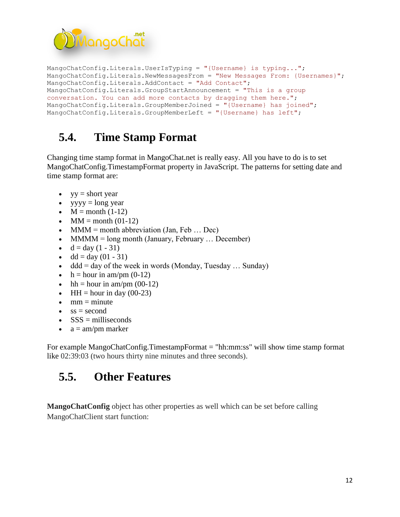

```
MangoChatConfig.Literals.UserIsTyping = "{Username} is typing...";
MangoChatConfig.Literals.NewMessagesFrom = "New Messages From: {Usernames}";
MangoChatConfig.Literals.AddContact = "Add Contact";
MangoChatConfig.Literals.GroupStartAnnouncement = "This is a group 
conversation. You can add more contacts by dragging them here.";
MangoChatConfig.Literals.GroupMemberJoined = "{Username} has joined";
MangoChatConfig.Literals.GroupMemberLeft = "{Username} has left";
```
# <span id="page-11-0"></span>**5.4. Time Stamp Format**

Changing time stamp format in MangoChat.net is really easy. All you have to do is to set MangoChatConfig.TimestampFormat property in JavaScript. The patterns for setting date and time stamp format are:

- $yy = short year$
- $yyyy = long year$
- $\bullet$  M = month (1-12)
- $\bullet$  MM = month (01-12)
- MMM = month abbreviation (Jan, Feb  $\ldots$  Dec)
- MMMM = long month (January, February  $\dots$  December)
- $d = day (1 31)$
- dd = day  $(01 31)$
- $\bullet$  ddd = day of the week in words (Monday, Tuesday ... Sunday)
- $\bullet$  h = hour in am/pm (0-12)
- $\bullet$  hh = hour in am/pm (00-12)
- $\bullet$  HH = hour in day (00-23)
- $\bullet$  mm = minute
- $\bullet$  ss = second
- $\textbf{SSS} = \text{milliseconds}$
- $a = am/pm$  marker

For example MangoChatConfig.TimestampFormat = "hh:mm:ss" will show time stamp format like 02:39:03 (two hours thirty nine minutes and three seconds).

# <span id="page-11-1"></span>**5.5. Other Features**

**MangoChatConfig** object has other properties as well which can be set before calling MangoChatClient start function: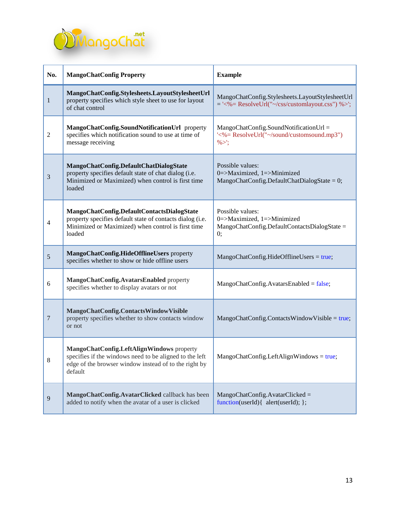

| No.            | <b>MangoChatConfig Property</b>                                                                                                                                          | <b>Example</b>                                                                                               |
|----------------|--------------------------------------------------------------------------------------------------------------------------------------------------------------------------|--------------------------------------------------------------------------------------------------------------|
| $\mathbf{1}$   | MangoChatConfig.Stylesheets.LayoutStylesheetUrl<br>property specifies which style sheet to use for layout<br>of chat control                                             | MangoChatConfig.Stylesheets.LayoutStylesheetUrl<br>$=$ '<%= ResolveUrl(" $\sim$ /css/customlayout.css") %>'; |
| $\overline{c}$ | MangoChatConfig.SoundNotificationUrl property<br>specifies which notification sound to use at time of<br>message receiving                                               | MangoChatConfig.SoundNotificationUrl =<br>'<%= ResolveUrl("~/sound/customsound.mp3")<br>$\% >$               |
| $\mathfrak{Z}$ | MangoChatConfig.DefaultChatDialogState<br>property specifies default state of chat dialog (i.e.<br>Minimized or Maximized) when control is first time<br>loaded          | Possible values:<br>0=>Maximized, 1=>Minimized<br>MangoChatConfig.DefaultChatDialogState = $0$ ;             |
| 4              | MangoChatConfig.DefaultContactsDialogState<br>property specifies default state of contacts dialog (i.e.<br>Minimized or Maximized) when control is first time<br>loaded  | Possible values:<br>0=>Maximized, 1=>Minimized<br>MangoChatConfig.DefaultContactsDialogState =<br>0;         |
| $\sqrt{5}$     | MangoChatConfig.HideOfflineUsers property<br>specifies whether to show or hide offline users                                                                             | MangoChatConfig.HideOfflineUsers = true;                                                                     |
| 6              | MangoChatConfig.AvatarsEnabled property<br>specifies whether to display avatars or not                                                                                   | MangoChatConfig.AvatarsEnabled = false;                                                                      |
| 7              | MangoChatConfig.ContactsWindowVisible<br>property specifies whether to show contacts window<br>or not                                                                    | $MangoChatConfig. Contacts WindowVisible = true;$                                                            |
| 8              | MangoChatConfig.LeftAlignWindows property<br>specifies if the windows need to be aligned to the left<br>edge of the browser window instead of to the right by<br>default | MangoChatConfig.LeftAlignWindows = true;                                                                     |
| $\overline{9}$ | MangoChatConfig.AvatarClicked callback has been<br>added to notify when the avatar of a user is clicked                                                                  | $MangoChatConfig.AvatarClicked =$<br>function(userId){ alert(userId); };                                     |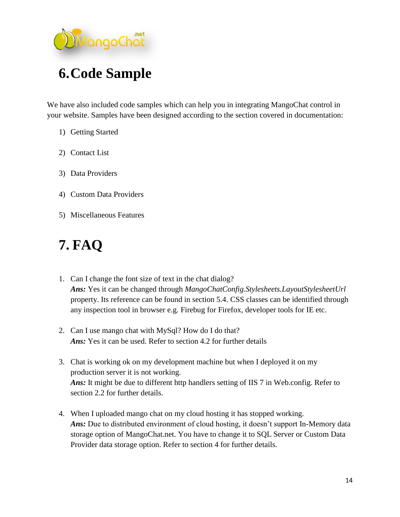

<span id="page-13-0"></span>We have also included code samples which can help you in integrating MangoChat control in your website. Samples have been designed according to the section covered in documentation:

- 1) Getting Started
- 2) Contact List
- 3) Data Providers
- 4) Custom Data Providers
- 5) Miscellaneous Features

# <span id="page-13-1"></span>**7. FAQ**

- 1. Can I change the font size of text in the chat dialog? *Ans:* Yes it can be changed through *MangoChatConfig.Stylesheets.LayoutStylesheetUrl* property. Its reference can be found in section 5.4. CSS classes can be identified through any inspection tool in browser e.g. Firebug for Firefox, developer tools for IE etc.
- 2. Can I use mango chat with MySql? How do I do that? *Ans:* Yes it can be used. Refer to section 4.2 for further details
- 3. Chat is working ok on my development machine but when I deployed it on my production server it is not working. Ans: It might be due to different http handlers setting of IIS 7 in Web.config. Refer to section 2.2 for further details.
- 4. When I uploaded mango chat on my cloud hosting it has stopped working. Ans: Due to distributed environment of cloud hosting, it doesn't support In-Memory data storage option of MangoChat.net. You have to change it to SQL Server or Custom Data Provider data storage option. Refer to section 4 for further details.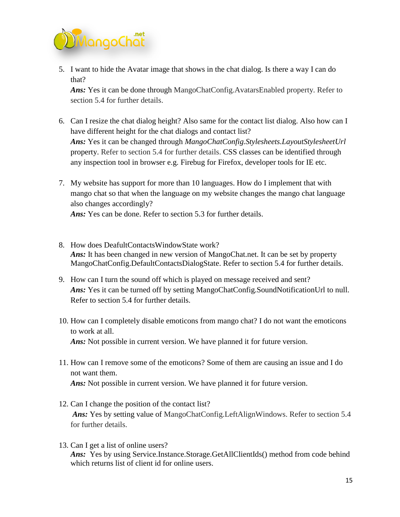

5. I want to hide the Avatar image that shows in the chat dialog. Is there a way I can do that?

*Ans:* Yes it can be done through MangoChatConfig.AvatarsEnabled property. Refer to section 5.4 for further details.

- 6. Can I resize the chat dialog height? Also same for the contact list dialog. Also how can I have different height for the chat dialogs and contact list? *Ans:* Yes it can be changed through *MangoChatConfig.Stylesheets.LayoutStylesheetUrl* property. Refer to section 5.4 for further details. CSS classes can be identified through any inspection tool in browser e.g. Firebug for Firefox, developer tools for IE etc.
- 7. My website has support for more than 10 languages. How do I implement that with mango chat so that when the language on my website changes the mango chat language also changes accordingly? *Ans:* Yes can be done. Refer to section 5.3 for further details.
- 8. How does DeafultContactsWindowState work? *Ans:* It has been changed in new version of MangoChat.net. It can be set by property MangoChatConfig.DefaultContactsDialogState. Refer to section 5.4 for further details.
- 9. How can I turn the sound off which is played on message received and sent? Ans: Yes it can be turned off by setting MangoChatConfig.SoundNotificationUrl to null. Refer to section 5.4 for further details.
- 10. How can I completely disable emoticons from mango chat? I do not want the emoticons to work at all. *Ans:* Not possible in current version. We have planned it for future version.
- 11. How can I remove some of the emoticons? Some of them are causing an issue and I do not want them. *Ans:* Not possible in current version. We have planned it for future version.
- 12. Can I change the position of the contact list? *Ans:* Yes by setting value of MangoChatConfig.LeftAlignWindows. Refer to section 5.4 for further details.
- 13. Can I get a list of online users? Ans: Yes by using Service.Instance.Storage.GetAllClientIds() method from code behind which returns list of client id for online users.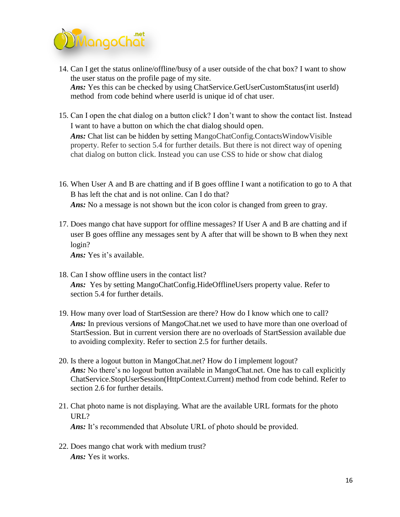

- 14. Can I get the status online/offline/busy of a user outside of the chat box? I want to show the user status on the profile page of my site. *Ans:* Yes this can be checked by using ChatService.GetUserCustomStatus(int userId) method from code behind where userId is unique id of chat user.
- 15. Can I open the chat dialog on a button click? I don't want to show the contact list. Instead I want to have a button on which the chat dialog should open.

*Ans:* Chat list can be hidden by setting MangoChatConfig.ContactsWindowVisible property. Refer to section 5.4 for further details. But there is not direct way of opening chat dialog on button click. Instead you can use CSS to hide or show chat dialog

- 16. When User A and B are chatting and if B goes offline I want a notification to go to A that B has left the chat and is not online. Can I do that? Ans: No a message is not shown but the icon color is changed from green to gray.
- 17. Does mango chat have support for offline messages? If User A and B are chatting and if user B goes offline any messages sent by A after that will be shown to B when they next login?

*Ans:* Yes it's available.

- 18. Can I show offline users in the contact list? *Ans:* Yes by setting MangoChatConfig.HideOfflineUsers property value. Refer to section 5.4 for further details.
- 19. How many over load of StartSession are there? How do I know which one to call? *Ans:* In previous versions of MangoChat.net we used to have more than one overload of StartSession. But in current version there are no overloads of StartSession available due to avoiding complexity. Refer to section 2.5 for further details.
- 20. Is there a logout button in MangoChat.net? How do I implement logout? Ans: No there's no logout button available in MangoChat.net. One has to call explicitly ChatService.StopUserSession(HttpContext.Current) method from code behind. Refer to section 2.6 for further details.
- 21. Chat photo name is not displaying. What are the available URL formats for the photo URL? Ans: It's recommended that Absolute URL of photo should be provided.
- 22. Does mango chat work with medium trust? *Ans:* Yes it works.